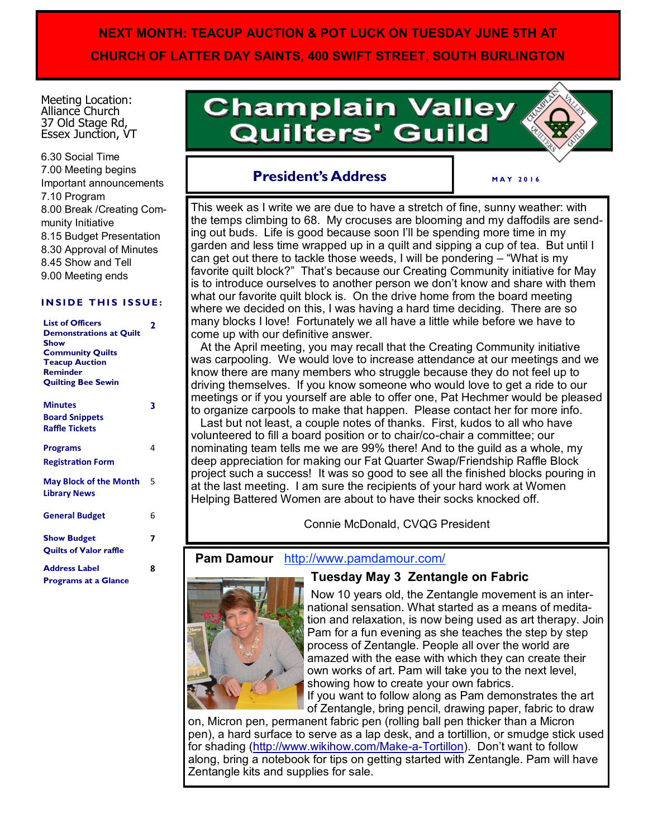# **NEXT MONTH: TEACUP AUCTION & POT LUCK ON TUESDAY JUNE 5TH AT CHURCH OF LATTER DAY SAINTS, 400 SWIFT STREET, SOUTH BURLINGTON**

Meeting Location: Alliance Church 37 Old Stage Rd, Essex Junction, VT

6.30 Social Time 7.00 Meeting begins Important announcements 7.10 Program 8.00 Break /Creating Community Initiative 8.15 Budget Presentation 8.30 Approval of Minutes 8.45 Show and Tell 9.00 Meeting ends

#### **INSIDE THIS ISSUE:**

| <b>List of Officers</b><br><b>Demonstrations at Quilt</b><br><b>Show</b><br><b>Community Quilts</b><br><b>Teacup Auction</b><br><b>Reminder</b><br><b>Quilting Bee Sewin</b> | 2 |
|------------------------------------------------------------------------------------------------------------------------------------------------------------------------------|---|
| <b>Minutes</b>                                                                                                                                                               | 3 |
| <b>Board Snippets</b><br><b>Raffle Tickets</b>                                                                                                                               |   |
| <b>Programs</b>                                                                                                                                                              | 4 |
| <b>Registration Form</b>                                                                                                                                                     |   |
| <b>May Block of the Month</b><br><b>Library News</b>                                                                                                                         | 5 |
| <b>General Budget</b>                                                                                                                                                        | 6 |
| <b>Show Budget</b><br><b>Quilts of Valor raffle</b>                                                                                                                          | 7 |
| <b>Address Label</b><br><b>Programs at a Glance</b>                                                                                                                          | 8 |

# **Champlain Valley Quilters' Guild**



# **President's Address**

**M A Y 2 0 1 6**

This week as I write we are due to have a stretch of fine, sunny weather: with the temps climbing to 68. My crocuses are blooming and my daffodils are sending out buds. Life is good because soon I'll be spending more time in my garden and less time wrapped up in a quilt and sipping a cup of tea. But until I can get out there to tackle those weeds, I will be pondering – "What is my favorite quilt block?" That's because our Creating Community initiative for May is to introduce ourselves to another person we don't know and share with them what our favorite quilt block is. On the drive home from the board meeting where we decided on this, I was having a hard time deciding. There are so many blocks I love! Fortunately we all have a little while before we have to come up with our definitive answer.

 At the April meeting, you may recall that the Creating Community initiative was carpooling. We would love to increase attendance at our meetings and we know there are many members who struggle because they do not feel up to driving themselves. If you know someone who would love to get a ride to our meetings or if you yourself are able to offer one, Pat Hechmer would be pleased to organize carpools to make that happen. Please contact her for more info. Last but not least, a couple notes of thanks. First, kudos to all who have volunteered to fill a board position or to chair/co-chair a committee; our nominating team tells me we are 99% there! And to the guild as a whole, my deep appreciation for making our Fat Quarter Swap/Friendship Raffle Block project such a success! It was so good to see all the finished blocks pouring in at the last meeting. I am sure the recipients of your hard work at Women Helping Battered Women are about to have their socks knocked off.

Connie McDonald, CVQG President

# **Pam Damour** http://www.pamdamour.com/



### **Tuesday May 3 Zentangle on Fabric**

Now 10 years old, the Zentangle movement is an international sensation. What started as a means of meditation and relaxation, is now being used as art therapy. Join Pam for a fun evening as she teaches the step by step process of Zentangle. People all over the world are amazed with the ease with which they can create their own works of art. Pam will take you to the next level, showing how to create your own fabrics.

If you want to follow along as Pam demonstrates the art of Zentangle, bring pencil, drawing paper, fabric to draw

on, Micron pen, permanent fabric pen (rolling ball pen thicker than a Micron pen), a hard surface to serve as a lap desk, and a tortillion, or smudge stick used for shading [\(http://www.wikihow.com/Make](http://www.wikihow.com/Make-a-Tortillon)-a-Tortillon). Don't want to follow along, bring a notebook for tips on getting started with Zentangle. Pam will have Zentangle kits and supplies for sale.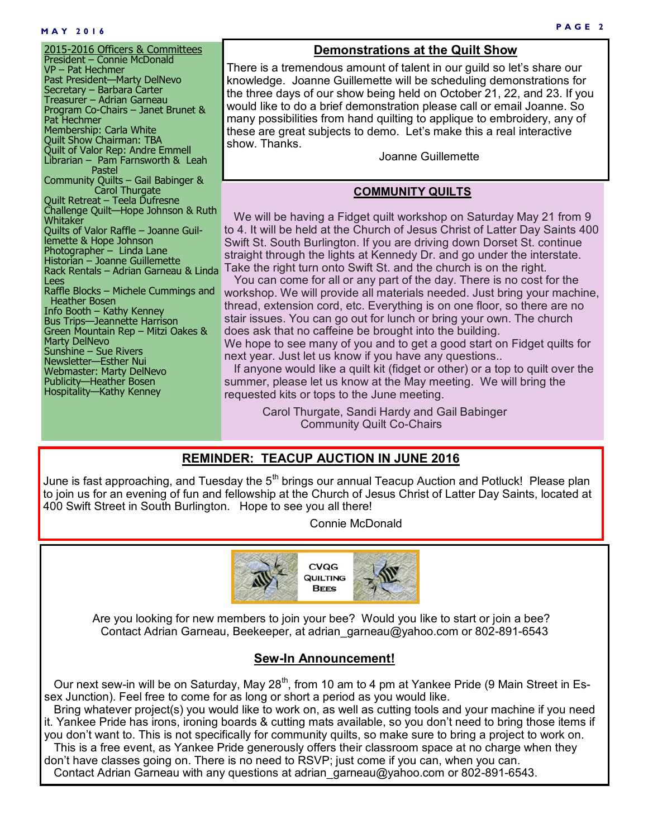#### **P A G E 2 M A Y 2 0 1 6**

2015-2016 Officers & Committees President – Connie McDonald VP – Pat Hechmer Past President—Marty DelNevo Secretary – Barbara Carter Treasurer – Adrian Garneau Program Co-Chairs – Janet Brunet & Pat Hechmer Membership: Carla White Quilt Show Chairman: TBA Quilt of Valor Rep: Andre Emmell Librarian – Pam Farnsworth & Leah Pastel Community Quilts – Gail Babinger & **Carol Thurgate** Quilt Retreat – Teela Dufresne Challenge Quilt—Hope Johnson & Ruth Whitaker Quilts of Valor Raffle – Joanne Guillemette & Hope Johnson Photographer – Linda Lane Historian – Joanne Guillemette Rack Rentals – Adrian Garneau & Linda Lees Raffle Blocks – Michele Cummings and Heather Bosen Info Booth – Kathy Kenney Bus Trips—Jeannette Harrison Green Mountain Rep – Mitzi Oakes & Marty DelNevo Sunshine – Sue Rivers Newsletter—Esther Nui Webmaster: Marty DelNevo Publicity—Heather Bosen Hospitality—Kathy Kenney

#### **Demonstrations at the Quilt Show**

There is a tremendous amount of talent in our guild so let's share our knowledge. Joanne Guillemette will be scheduling demonstrations for the three days of our show being held on October 21, 22, and 23. If you would like to do a brief demonstration please call or email Joanne. So many possibilities from hand quilting to applique to embroidery, any of these are great subjects to demo. Let's make this a real interactive show. Thanks.

Joanne Guillemette

#### **COMMUNITY QUILTS**

 We will be having a Fidget quilt workshop on Saturday May 21 from 9 to 4. It will be held at the Church of Jesus Christ of Latter Day Saints 400 Swift St. South Burlington. If you are driving down Dorset St. continue straight through the lights at Kennedy Dr. and go under the interstate. Take the right turn onto Swift St. and the church is on the right.

 You can come for all or any part of the day. There is no cost for the workshop. We will provide all materials needed. Just bring your machine, thread, extension cord, etc. Everything is on one floor, so there are no stair issues. You can go out for lunch or bring your own. The church does ask that no caffeine be brought into the building.

We hope to see many of you and to get a good start on Fidget quilts for next year. Just let us know if you have any questions..

 If anyone would like a quilt kit (fidget or other) or a top to quilt over the summer, please let us know at the May meeting. We will bring the requested kits or tops to the June meeting.

> Carol Thurgate, Sandi Hardy and Gail Babinger Community Quilt Co-Chairs

#### **REMINDER: TEACUP AUCTION IN JUNE 2016**

June is fast approaching, and Tuesday the  $5<sup>th</sup>$  brings our annual Teacup Auction and Potluck! Please plan to join us for an evening of fun and fellowship at the Church of Jesus Christ of Latter Day Saints, located at 400 Swift Street in South Burlington. Hope to see you all there!

Connie McDonald



Are you looking for new members to join your bee? Would you like to start or join a bee? Contact Adrian Garneau, Beekeeper, at adrian\_garneau@yahoo.com or 802-891-6543

#### **Sew-In Announcement!**

Our next sew-in will be on Saturday, May  $28<sup>th</sup>$ , from 10 am to 4 pm at Yankee Pride (9 Main Street in Essex Junction). Feel free to come for as long or short a period as you would like.

 Bring whatever project(s) you would like to work on, as well as cutting tools and your machine if you need it. Yankee Pride has irons, ironing boards & cutting mats available, so you don't need to bring those items if you don't want to. This is not specifically for community quilts, so make sure to bring a project to work on.

 This is a free event, as Yankee Pride generously offers their classroom space at no charge when they don't have classes going on. There is no need to RSVP; just come if you can, when you can. Contact Adrian Garneau with any questions at adrian garneau@yahoo.com or 802-891-6543.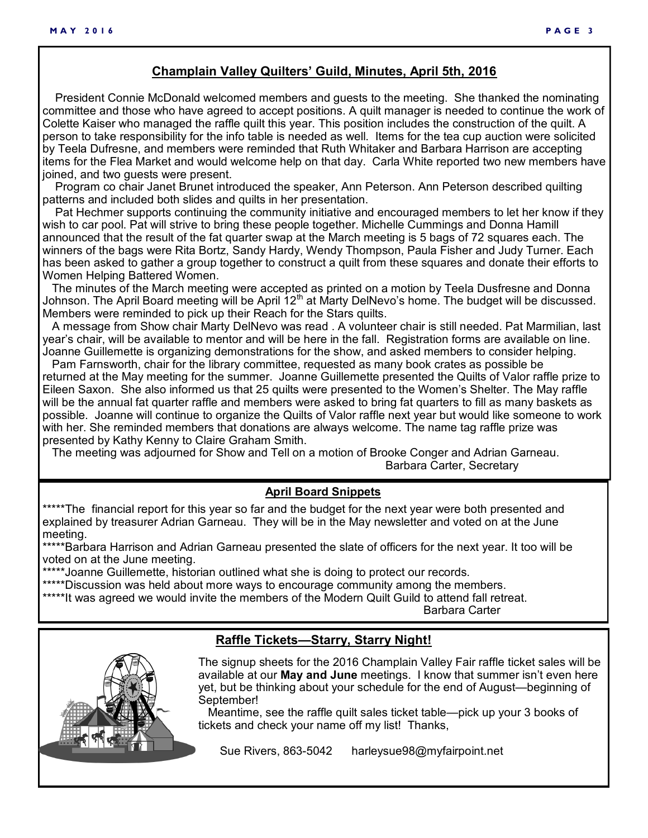#### **Champlain Valley Quilters' Guild, Minutes, April 5th, 2016**

 President Connie McDonald welcomed members and guests to the meeting. She thanked the nominating committee and those who have agreed to accept positions. A quilt manager is needed to continue the work of Colette Kaiser who managed the raffle quilt this year. This position includes the construction of the quilt. A person to take responsibility for the info table is needed as well. Items for the tea cup auction were solicited by Teela Dufresne, and members were reminded that Ruth Whitaker and Barbara Harrison are accepting items for the Flea Market and would welcome help on that day. Carla White reported two new members have joined, and two guests were present.

 Program co chair Janet Brunet introduced the speaker, Ann Peterson. Ann Peterson described quilting patterns and included both slides and quilts in her presentation.

 Pat Hechmer supports continuing the community initiative and encouraged members to let her know if they wish to car pool. Pat will strive to bring these people together. Michelle Cummings and Donna Hamill announced that the result of the fat quarter swap at the March meeting is 5 bags of 72 squares each. The winners of the bags were Rita Bortz, Sandy Hardy, Wendy Thompson, Paula Fisher and Judy Turner. Each has been asked to gather a group together to construct a quilt from these squares and donate their efforts to Women Helping Battered Women.

 The minutes of the March meeting were accepted as printed on a motion by Teela Dusfresne and Donna Johnson. The April Board meeting will be April 12<sup>th</sup> at Marty DelNevo's home. The budget will be discussed. Members were reminded to pick up their Reach for the Stars quilts.

 A message from Show chair Marty DelNevo was read . A volunteer chair is still needed. Pat Marmilian, last year's chair, will be available to mentor and will be here in the fall. Registration forms are available on line. Joanne Guillemette is organizing demonstrations for the show, and asked members to consider helping.

 Pam Farnsworth, chair for the library committee, requested as many book crates as possible be returned at the May meeting for the summer. Joanne Guillemette presented the Quilts of Valor raffle prize to Eileen Saxon. She also informed us that 25 quilts were presented to the Women's Shelter. The May raffle will be the annual fat quarter raffle and members were asked to bring fat quarters to fill as many baskets as possible. Joanne will continue to organize the Quilts of Valor raffle next year but would like someone to work with her. She reminded members that donations are always welcome. The name tag raffle prize was presented by Kathy Kenny to Claire Graham Smith.

 The meeting was adjourned for Show and Tell on a motion of Brooke Conger and Adrian Garneau. Barbara Carter, Secretary

#### **April Board Snippets**

\*\*\*\*\*The financial report for this year so far and the budget for the next year were both presented and explained by treasurer Adrian Garneau. They will be in the May newsletter and voted on at the June meeting.

\*\*\*\*\*Barbara Harrison and Adrian Garneau presented the slate of officers for the next year. It too will be voted on at the June meeting.

\*\*\*\*\*Joanne Guillemette, historian outlined what she is doing to protect our records.

\*\*\*\*\*Discussion was held about more ways to encourage community among the members.

\*\*\*\*\*It was agreed we would invite the members of the Modern Quilt Guild to attend fall retreat.

Barbara Carter

#### **Raffle Tickets—Starry, Starry Night!**



The signup sheets for the 2016 Champlain Valley Fair raffle ticket sales will be available at our **May and June** meetings. I know that summer isn't even here yet, but be thinking about your schedule for the end of August—beginning of September!

 Meantime, see the raffle quilt sales ticket table—pick up your 3 books of tickets and check your name off my list! Thanks,

Sue Rivers, 863-5042 harleysue98@myfairpoint.net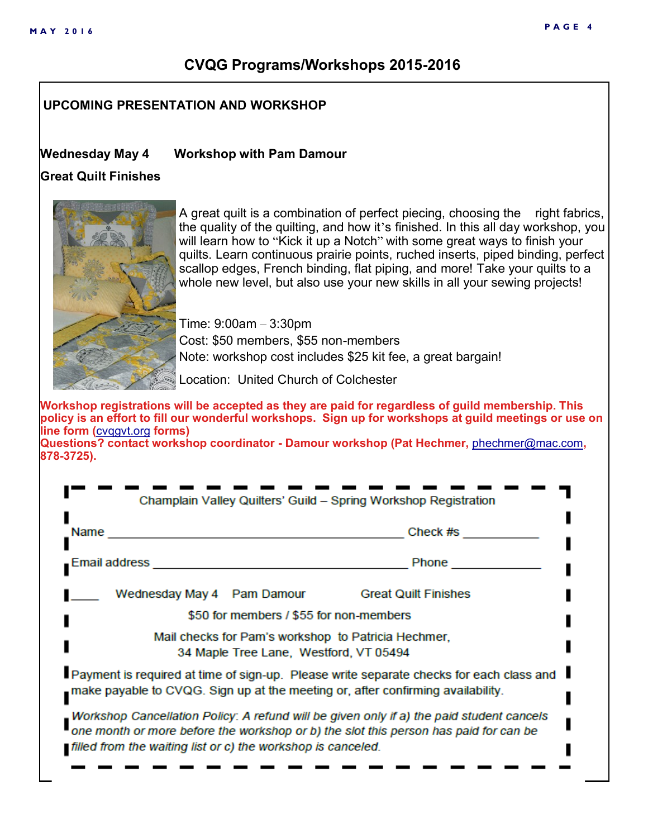# **CVQG Programs/Workshops 2015-2016**

### **UPCOMING PRESENTATION AND WORKSHOP**

#### **Wednesday May 4 Workshop with Pam Damour**

#### **Great Quilt Finishes**



A great quilt is a combination of perfect piecing, choosing the right fabrics, the quality of the quilting, and how it's finished. In this all day workshop, you will learn how to "Kick it up a Notch" with some great ways to finish your quilts. Learn continuous prairie points, ruched inserts, piped binding, perfect scallop edges, French binding, flat piping, and more! Take your quilts to a whole new level, but also use your new skills in all your sewing projects!

Time: 9:00am – 3:30pm Cost: \$50 members, \$55 non-members Note: workshop cost includes \$25 kit fee, a great bargain!

Location: United Church of Colchester

**Workshop registrations will be accepted as they are paid for regardless of guild membership. This policy is an effort to fill our wonderful workshops. Sign up for workshops at guild meetings or use on line form (**[cvqgvt.org](http://cvqgvt.org) **forms)** 

**Questions? contact workshop coordinator - Damour workshop (Pat Hechmer,** [phechmer@mac.com](mailto:phechmer@mac.com)**, 878-3725).**

| Champlain Valley Quilters' Guild - Spring Workshop Registration                                                                                                                                                                                  |                             |  |  |  |
|--------------------------------------------------------------------------------------------------------------------------------------------------------------------------------------------------------------------------------------------------|-----------------------------|--|--|--|
| Name                                                                                                                                                                                                                                             | Check #s                    |  |  |  |
| Email address                                                                                                                                                                                                                                    | Phone                       |  |  |  |
| Wednesday May 4 Pam Damour                                                                                                                                                                                                                       | <b>Great Quilt Finishes</b> |  |  |  |
| \$50 for members / \$55 for non-members                                                                                                                                                                                                          |                             |  |  |  |
| Mail checks for Pam's workshop to Patricia Hechmer,<br>34 Maple Tree Lane, Westford, VT 05494                                                                                                                                                    |                             |  |  |  |
| Payment is required at time of sign-up. Please write separate checks for each class and<br>make payable to CVQG. Sign up at the meeting or, after confirming availability.                                                                       |                             |  |  |  |
| Workshop Cancellation Policy: A refund will be given only if a) the paid student cancels<br>one month or more before the workshop or b) the slot this person has paid for can be<br>filled from the waiting list or c) the workshop is canceled. |                             |  |  |  |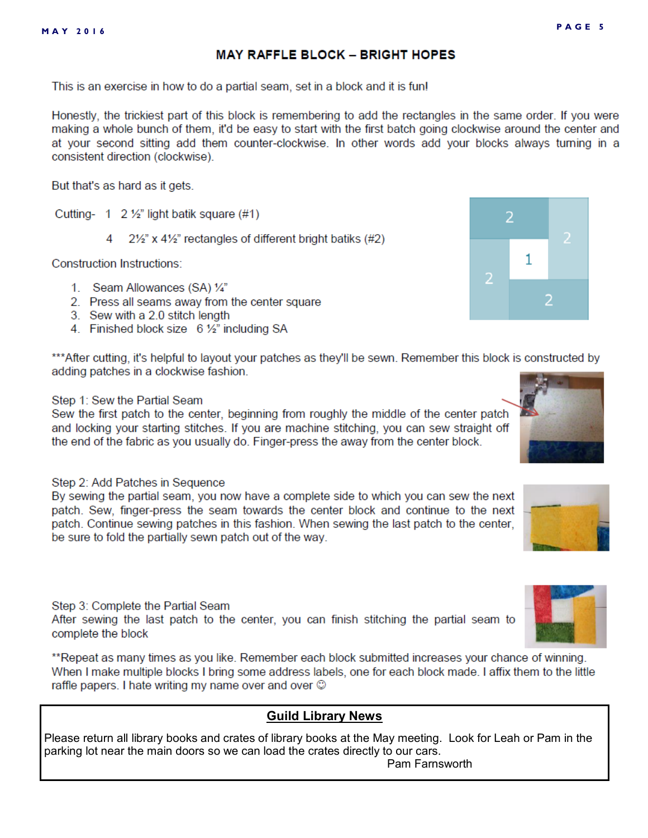**MAY RAFFLE BLOCK - BRIGHT HOPES** 

This is an exercise in how to do a partial seam, set in a block and it is fun!

Honestly, the trickiest part of this block is remembering to add the rectangles in the same order. If you were making a whole bunch of them, it'd be easy to start with the first batch going clockwise around the center and at your second sitting add them counter-clockwise. In other words add your blocks always turning in a consistent direction (clockwise).

But that's as hard as it gets.

Cutting- 1  $2\frac{1}{2}$  light batik square (#1)

21/2" x 41/2" rectangles of different bright batiks (#2) Δ

**Construction Instructions:** 

- 1. Seam Allowances (SA) 1/4"
- 2. Press all seams away from the center square
- 3. Sew with a 2.0 stitch length
- 4. Finished block size 6 1/2" including SA

\*\*\*After cutting, it's helpful to layout your patches as they'll be sewn. Remember this block is constructed by adding patches in a clockwise fashion.

#### Step 1: Sew the Partial Seam

Sew the first patch to the center, beginning from roughly the middle of the center patch and locking your starting stitches. If you are machine stitching, you can sew straight off the end of the fabric as you usually do. Finger-press the away from the center block.

#### Step 2: Add Patches in Sequence

By sewing the partial seam, you now have a complete side to which you can sew the next patch. Sew, finger-press the seam towards the center block and continue to the next patch. Continue sewing patches in this fashion. When sewing the last patch to the center, be sure to fold the partially sewn patch out of the way.

Step 3: Complete the Partial Seam After sewing the last patch to the center, you can finish stitching the partial seam to complete the block

\*\*Repeat as many times as you like. Remember each block submitted increases your chance of winning. When I make multiple blocks I bring some address labels, one for each block made. I affix them to the little raffle papers. I hate writing my name over and over  $\circledcirc$ 

#### **Guild Library News**

Please return all library books and crates of library books at the May meeting. Look for Leah or Pam in the parking lot near the main doors so we can load the crates directly to our cars. Pam Farnsworth



**PAGE 5** 



2

1





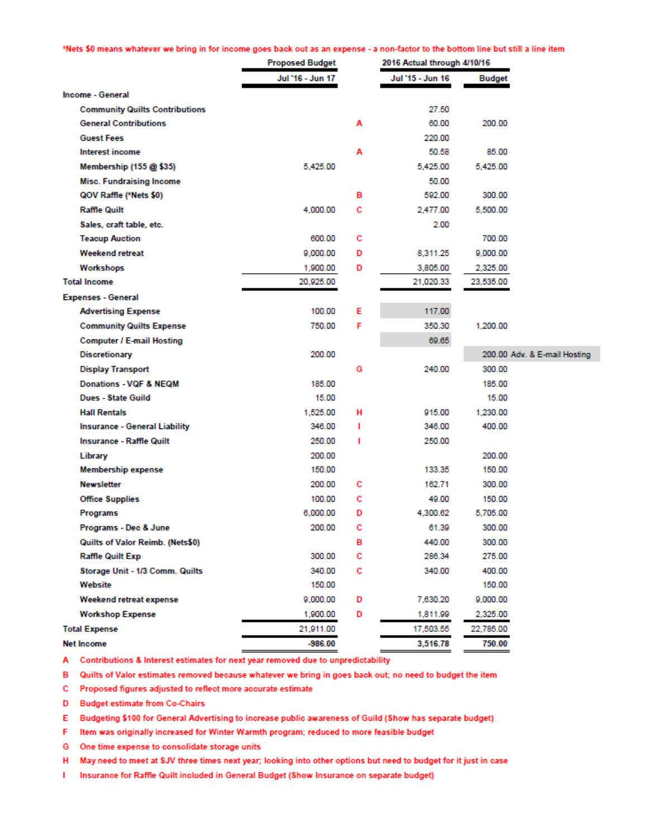\*Nets \$0 means whatever we bring in for income goes back out as an expense - a non-factor to the bottom line but still a line item

|                                       | <b>Proposed Budget</b> | 2016 Actual through 4/10/16 |                  |               |                              |
|---------------------------------------|------------------------|-----------------------------|------------------|---------------|------------------------------|
|                                       | Jul '16 - Jun 17       |                             | Jul '15 - Jun 16 | <b>Budget</b> |                              |
| Income - General                      |                        |                             |                  |               |                              |
| <b>Community Quilts Contributions</b> |                        |                             | 27.50            |               |                              |
| <b>General Contributions</b>          |                        | Α                           | 60.00            | 200.00        |                              |
| <b>Guest Fees</b>                     |                        |                             | 220.00           |               |                              |
| <b>Interest income</b>                |                        | А                           | 50.58            | 85.00         |                              |
| Membership (155 @ \$35)               | 5.425.00               |                             | 5,425.00         | 5.425.00      |                              |
| <b>Misc. Fundraising Income</b>       |                        |                             | 50.00            |               |                              |
| QOV Raffle (*Nets \$0)                |                        | в                           | 592.00           | 300.00        |                              |
| <b>Raffle Quilt</b>                   | 4,000.00               | с                           | 2,477.00         | 5,500.00      |                              |
| Sales, craft table, etc.              |                        |                             | 2.00             |               |                              |
| <b>Teacup Auction</b>                 | 600.00                 | с                           |                  | 700.00        |                              |
| <b>Weekend retreat</b>                | 9,000.00               | D                           | 8,311.25         | 9,000.00      |                              |
| Workshops                             | 1,900.00               | D                           | 3,805.00         | 2,325.00      |                              |
| <b>Total Income</b>                   | 20,925.00              |                             | 21,020.33        | 23,535.00     |                              |
| <b>Expenses - General</b>             |                        |                             |                  |               |                              |
| <b>Advertising Expense</b>            | 100.00                 | Е                           | 117.00           |               |                              |
| <b>Community Quilts Expense</b>       | 750.00                 | F                           | 350.30           | 1,200.00      |                              |
| <b>Computer / E-mail Hosting</b>      |                        |                             | 69.65            |               |                              |
| <b>Discretionary</b>                  | 200.00                 |                             |                  |               | 200.00 Adv. & E-mail Hosting |
| <b>Display Transport</b>              |                        | G                           | 240.00           | 300.00        |                              |
| <b>Donations - VOF &amp; NEOM</b>     | 185.00                 |                             |                  | 185.00        |                              |
| Dues - State Guild                    | 15.00                  |                             |                  | 15.00         |                              |
| <b>Hall Rentals</b>                   | 1,525.00               | н                           | 915.00           | 1,230.00      |                              |
| <b>Insurance - General Liability</b>  | 346.00                 | т                           | 346.00           | 400.00        |                              |
| <b>Insurance - Raffle Quilt</b>       | 250.00                 | п                           | 250.00           |               |                              |
| Library                               | 200.00                 |                             |                  | 200.00        |                              |
| <b>Membership expense</b>             | 150.00                 |                             | 133.35           | 150.00        |                              |
| <b>Newsletter</b>                     | 200.00                 | с                           | 162.71           | 300.00        |                              |
| <b>Office Supplies</b>                | 100.00                 | с                           | 49.00            | 150.00        |                              |
| Programs                              | 6,000,00               | D                           | 4,300.62         | 5,705.00      |                              |
| Programs - Dec & June                 | 200.00                 | с                           | 61.39            | 300.00        |                              |
| Quilts of Valor Reimb. (Nets\$0)      |                        | в                           | 440.00           | 300.00        |                              |
| <b>Raffle Quilt Exp</b>               | 300.00                 | c                           | 286.34           | 275.00        |                              |
| Storage Unit - 1/3 Comm. Quilts       | 340.00                 | c                           | 340.00           | 400.00        |                              |
| Website                               | 150.00                 |                             |                  | 150.00        |                              |
| Weekend retreat expense               | 9,000.00               | D                           | 7,630.20         | 9,000.00      |                              |
| <b>Workshop Expense</b>               | 1,900.00               | D                           | 1,811.99         | 2,325.00      |                              |
| <b>Total Expense</b>                  | 21,911.00              |                             | 17,503.55        | 22.785.00     |                              |
| <b>Net Income</b>                     | $-986.00$              |                             | 3,516.78         | 750.00        |                              |

A Contributions & Interest estimates for next year removed due to unpredictability

B Quilts of Valor estimates removed because whatever we bring in goes back out; no need to budget the item

C Proposed figures adjusted to reflect more accurate estimate

D Budget estimate from Co-Chairs

E Budgeting \$100 for General Advertising to increase public awareness of Guild (Show has separate budget)

F Item was originally increased for Winter Warmth program; reduced to more feasible budget

G One time expense to consolidate storage units

H May need to meet at SJV three times next year; looking into other options but need to budget for it just in case

I Insurance for Raffle Quilt included in General Budget (Show Insurance on separate budget)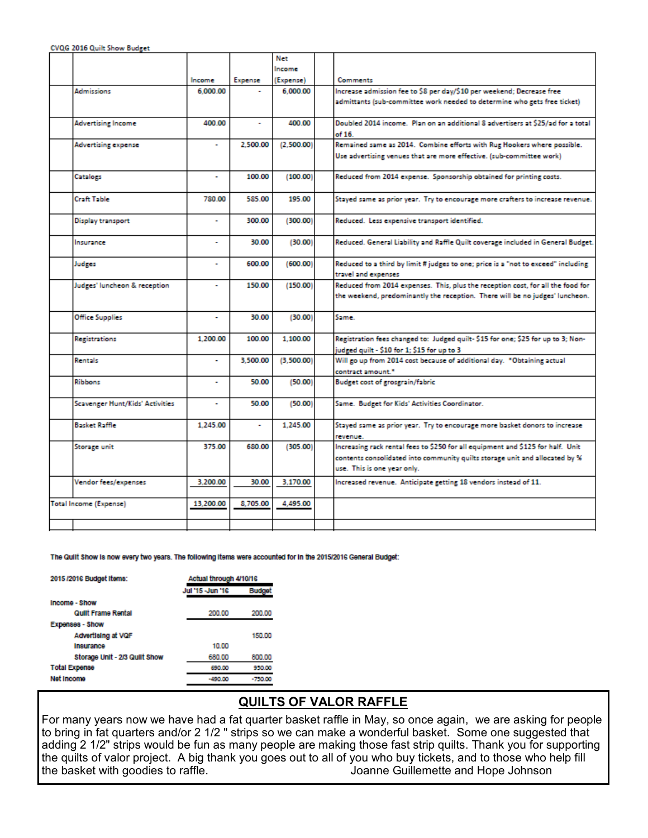CVQG 2016 Quilt Show Budget

|                                 |           |          | Net        |                                                                                   |
|---------------------------------|-----------|----------|------------|-----------------------------------------------------------------------------------|
|                                 |           |          | Income     |                                                                                   |
|                                 | Income    | Expense  | (Expense)  | <b>Comments</b>                                                                   |
| <b>Admissions</b>               | 6.000.00  |          | 6,000.00   | Increase admission fee to \$8 per day/\$10 per weekend; Decrease free             |
|                                 |           |          |            | admittants (sub-committee work needed to determine who gets free ticket)          |
|                                 |           |          |            |                                                                                   |
| <b>Advertising Income</b>       | 400.00    |          | 400.00     | Doubled 2014 income. Plan on an additional 8 advertisers at \$25/ad for a total   |
|                                 |           |          |            | of 16.                                                                            |
| <b>Advertising expense</b>      |           | 2.500.00 | (2,500.00) | Remained same as 2014. Combine efforts with Rug Hookers where possible.           |
|                                 |           |          |            | Use advertising venues that are more effective. (sub-committee work)              |
|                                 |           |          |            |                                                                                   |
| Catalogs                        | ٠         | 100.00   | (100.00)   | Reduced from 2014 expense. Sponsorship obtained for printing costs.               |
|                                 |           |          |            |                                                                                   |
| Craft Table                     | 780.00    | 585.00   | 195.00     | Stayed same as prior year. Try to encourage more crafters to increase revenue.    |
|                                 |           |          |            |                                                                                   |
| <b>Display transport</b>        | ٠         | 300.00   | (300.00)   | Reduced. Less expensive transport identified.                                     |
|                                 |           |          |            |                                                                                   |
| Insurance                       | ٠         | 30.00    | (30.00)    | Reduced. General Liability and Raffle Quilt coverage included in General Budget.  |
|                                 |           |          |            |                                                                                   |
| Judges                          | ۰         | 600.00   | (600.00)   | Reduced to a third by limit # judges to one; price is a "not to exceed" including |
|                                 |           |          |            | travel and expenses                                                               |
| Judges' luncheon & reception    | ٠         | 150.00   | (150.00)   | Reduced from 2014 expenses. This, plus the reception cost, for all the food for   |
|                                 |           |          |            | the weekend, predominantly the reception. There will be no judges' luncheon.      |
| <b>Office Supplies</b>          | ٠         | 30.00    | (30.00)    | Same.                                                                             |
|                                 |           |          |            |                                                                                   |
| <b>Registrations</b>            | 1,200.00  | 100.00   | 1.100.00   | Registration fees changed to: Judged quilt-\$15 for one; \$25 for up to 3; Non-   |
|                                 |           |          |            | judged quilt - \$10 for 1; \$15 for up to 3                                       |
| Rentals                         |           | 3.500.00 | (3,500.00) | Will go up from 2014 cost because of additional day. "Obtaining actual            |
|                                 |           |          |            | contract amount."                                                                 |
| Ribbons                         |           | 50.00    | (50.00)    | <b>Budget cost of grosgrain/fabric</b>                                            |
|                                 |           |          |            |                                                                                   |
| Scavenger Hunt/Kids' Activities | ٠         | 50.00    | (50.00)    | Same. Budget for Kids' Activities Coordinator.                                    |
|                                 |           |          |            |                                                                                   |
| Basket Raffle                   | 1.245.00  |          | 1.245.00   | Stayed same as prior year. Try to encourage more basket donors to increase        |
|                                 |           |          |            | revenue.                                                                          |
| Storage unit                    | 375.00    | 680.00   | (305.00)   | Increasing rack rental fees to \$250 for all equipment and \$125 for half. Unit   |
|                                 |           |          |            | contents consolidated into community quilts storage unit and allocated by %       |
|                                 |           |          |            | use. This is one year only.                                                       |
| Vendor fees/expenses            | 3,200.00  | 30.00    | 3.170.00   | Increased revenue. Anticipate getting 18 vendors instead of 11.                   |
|                                 |           |          |            |                                                                                   |
| Total Income (Expense)          | 13.200.00 | 8,705.00 | 4,495.00   |                                                                                   |
|                                 |           |          |            |                                                                                   |
|                                 |           |          |            |                                                                                   |

The Quilt Show is now every two years. The following items were accounted for in the 2015/2016 General Budget:

| 2015 /2016 Budget Items:      | Actual through 4/10/16 |              |  |
|-------------------------------|------------------------|--------------|--|
|                               | Jul '15 - Jun '16      | <b>Budge</b> |  |
| Income - Show                 |                        |              |  |
| Quilt Frame Rental            | 200.00                 | 200.00       |  |
| Expenses - Show               |                        |              |  |
| Advertising at VOF            |                        | 150.00       |  |
| Insurance                     | 10.00                  |              |  |
| Storage Unit - 2/3 Quilt Show | 680.00                 | 800.00       |  |
| <b>Total Expense</b>          | 690.00                 | 950.00       |  |
| Net Income                    | $-490.00$              | $-750.00$    |  |
|                               |                        |              |  |

# **QUILTS OF VALOR RAFFLE**

For many years now we have had a fat quarter basket raffle in May, so once again, we are asking for people to bring in fat quarters and/or 2 1/2 " strips so we can make a wonderful basket. Some one suggested that adding 2 1/2" strips would be fun as many people are making those fast strip quilts. Thank you for supporting the quilts of valor project. A big thank you goes out to all of you who buy tickets, and to those who help fill the basket with goodies to raffle. The state of the solution of the basket with goodies to raffle.